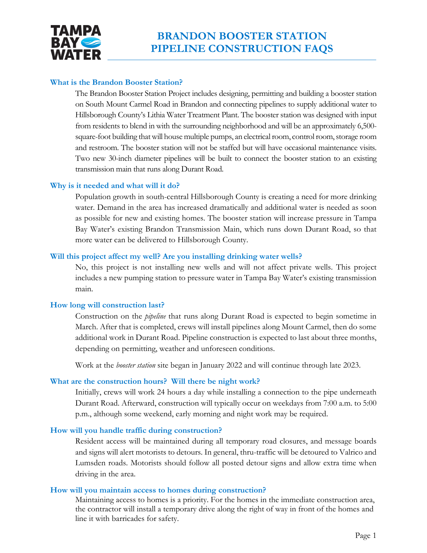

# **What is the Brandon Booster Station?**

The Brandon Booster Station Project includes designing, permitting and building a booster station on South Mount Carmel Road in Brandon and connecting pipelines to supply additional water to Hillsborough County's Lithia Water Treatment Plant. The booster station was designed with input from residents to blend in with the surrounding neighborhood and will be an approximately 6,500 square-foot building that will house multiple pumps, an electrical room, control room, storage room and restroom. The booster station will not be staffed but will have occasional maintenance visits. Two new 30-inch diameter pipelines will be built to connect the booster station to an existing transmission main that runs along Durant Road.

# **Why is it needed and what will it do?**

 water. Demand in the area has increased dramatically and additional water is needed as soon Population growth in south-central Hillsborough County is creating a need for more drinking as possible for new and existing homes. The booster station will increase pressure in Tampa Bay Water's existing Brandon Transmission Main, which runs down Durant Road, so that more water can be delivered to Hillsborough County.

# **Will this project affect my well? Are you installing drinking water wells?**

 No, this project is not installing new wells and will not affect private wells. This project includes a new pumping station to pressure water in Tampa Bay Water's existing transmission main.

# **How long will construction last?**

Construction on the *pipeline* that runs along Durant Road is expected to begin sometime in March. After that is completed, crews will install pipelines along Mount Carmel, then do some additional work in Durant Road. Pipeline construction is expected to last about three months, depending on permitting, weather and unforeseen conditions.

Work at the *booster station* site began in January 2022 and will continue through late 2023.

# **What are the construction hours? Will there be night work?**

Initially, crews will work 24 hours a day while installing a connection to the pipe underneath Durant Road. Afterward, construction will typically occur on weekdays from 7:00 a.m. to 5:00 p.m., although some weekend, early morning and night work may be required.

# **How will you handle traffic during construction?**

Resident access will be maintained during all temporary road closures, and message boards and signs will alert motorists to detours. In general, thru-traffic will be detoured to Valrico and Lumsden roads. Motorists should follow all posted detour signs and allow extra time when driving in the area.

# **How will you maintain access to homes during construction?**

Maintaining access to homes is a priority. For the homes in the immediate construction area, the contractor will install a temporary drive along the right of way in front of the homes and line it with barricades for safety.